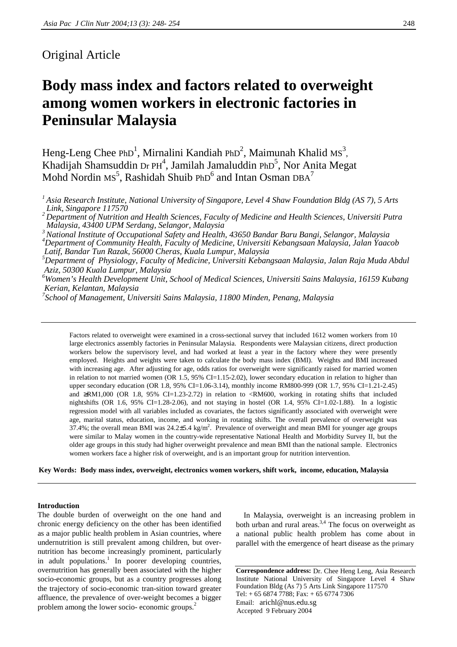# Original Article

# **Body mass index and factors related to overweight among women workers in electronic factories in Peninsular Malaysia**

Heng-Leng Chee PhD<sup>1</sup>, Mirnalini Kandiah PhD<sup>2</sup>, Maimunah Khalid MS<sup>3</sup>, Khadijah Shamsuddin Dr PH<sup>4</sup>, Jamilah Jamaluddin PhD<sup>5</sup>, Nor Anita Megat Mohd Nordin Ms<sup>5</sup>, Rashidah Shuib PhD<sup>6</sup> and Intan Osman DBA<sup>7</sup>

*1 Asia Research Institute, National University of Singapore, Level 4 Shaw Foundation Bldg (AS 7), 5 Arts Link, Singapore 117570*

*3 National Institute of Occupational Safety and Health, 43650 Bandar Baru Bangi, Selangor, Malaysia 4 Department of Community Health, Faculty of Medicine, Universiti Kebangsaan Malaysia, Jalan Yaacob Latif, Bandar Tun Razak, 56000 Cheras, Kuala Lumpur, Malaysia*

*5 Department of Physiology, Faculty of Medicine, Universiti Kebangsaan Malaysia, Jalan Raja Muda Abdul Aziz, 50300 Kuala Lumpur, Malaysia*

*6 Women's Health Development Unit, School of Medical Sciences, Universiti Sains Malaysia, 16159 Kubang Kerian, Kelantan, Malaysia*

*7 School of Management, Universiti Sains Malaysia, 11800 Minden, Penang, Malaysia*

Factors related to overweight were examined in a cross-sectional survey that included 1612 women workers from 10 large electronics assembly factories in Peninsular Malaysia. Respondents were Malaysian citizens, direct production workers below the supervisory level, and had worked at least a year in the factory where they were presently employed. Heights and weights were taken to calculate the body mass index (BMI). Weights and BMI increased with increasing age. After adjusting for age, odds ratios for overweight were significantly raised for married women in relation to not married women (OR  $1.5$ ,  $95\%$  CI=1.15-2.02), lower secondary education in relation to higher than upper secondary education (OR 1.8, 95% CI=1.06-3.14), monthly income RM800-999 (OR 1.7, 95% CI=1.21-2.45) and ≥RM1,000 (OR 1.8, 95% CI=1.23-2.72) in relation to <RM600, working in rotating shifts that included nightshifts (OR 1.6, 95% CI=1.28-2.06), and not staying in hostel (OR 1.4, 95% CI=1.02-1.88). In a logistic regression model with all variables included as covariates, the factors significantly associated with overweight were age, marital status, education, income, and working in rotating shifts. The overall prevalence of overweight was 37.4%; the overall mean BMI was 24.2 $\pm$ 5.4 kg/m<sup>2</sup>. Prevalence of overweight and mean BMI for younger age groups were similar to Malay women in the country-wide representative National Health and Morbidity Survey II, but the older age groups in this study had higher overweight prevalence and mean BMI than the national sample. Electronics women workers face a higher risk of overweight, and is an important group for nutrition intervention.

**Key Words: Body mass index, overweight, electronics women workers, shift work, income, education, Malaysia**

#### **Introduction**

The double burden of overweight on the one hand and chronic energy deficiency on the other has been identified as a major public health problem in Asian countries, where undernutrition is still prevalent among children, but overnutrition has become increasingly prominent, particularly in adult populations.<sup>1</sup> In poorer developing countries, overnutrition has generally been associated with the higher socio-economic groups, but as a country progresses along the trajectory of socio-economic tran-sition toward greater affluence, the prevalence of over-weight becomes a bigger problem among the lower socio- economic groups.<sup>2</sup>

 In Malaysia, overweight is an increasing problem in both urban and rural areas.<sup>3,4</sup> The focus on overweight as a national public health problem has come about in parallel with the emergence of heart disease as the primary

**Correspondence address:** Dr. Chee Heng Leng, Asia Research Institute National University of Singapore Level 4 Shaw Foundation Bldg (As 7) 5 Arts Link Singapore 117570 Tel: + 65 6874 7788; Fax: + 65 6774 7306 Email: arichl@nus.edu.sg Accepted 9 February 2004

*<sup>2</sup> Department of Nutrition and Health Sciences, Faculty of Medicine and Health Sciences, Universiti Putra Malaysia, 43400 UPM Serdang, Selangor, Malaysia*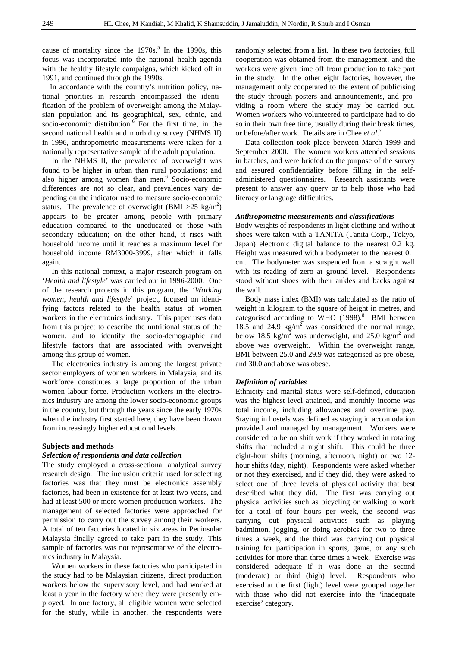cause of mortality since the  $1970s$ .<sup>5</sup> In the 1990s, this focus was incorporated into the national health agenda with the healthy lifestyle campaigns, which kicked off in 1991, and continued through the 1990s.

 In accordance with the country's nutrition policy, national priorities in research encompassed the identification of the problem of overweight among the Malaysian population and its geographical, sex, ethnic, and socio-economic distribution.<sup>6</sup> For the first time, in the second national health and morbidity survey (NHMS II) in 1996, anthropometric measurements were taken for a nationally representative sample of the adult population.

 In the NHMS II, the prevalence of overweight was found to be higher in urban than rural populations; and also higher among women than men.<sup>6</sup> Socio-economic differences are not so clear, and prevalences vary depending on the indicator used to measure socio-economic status. The prevalence of overweight (BMI > 25 kg/m<sup>2</sup>) appears to be greater among people with primary education compared to the uneducated or those with secondary education; on the other hand, it rises with household income until it reaches a maximum level for household income RM3000-3999, after which it falls again.

 In this national context, a major research program on '*Health and lifestyle*' was carried out in 1996-2000. One of the research projects in this program, the '*Working women, health and lifestyle*' project, focused on identifying factors related to the health status of women workers in the electronics industry. This paper uses data from this project to describe the nutritional status of the women, and to identify the socio-demographic and lifestyle factors that are associated with overweight among this group of women.

 The electronics industry is among the largest private sector employers of women workers in Malaysia, and its workforce constitutes a large proportion of the urban women labour force. Production workers in the electronics industry are among the lower socio-economic groups in the country, but through the years since the early 1970s when the industry first started here, they have been drawn from increasingly higher educational levels.

# **Subjects and methods**

#### *Selection of respondents and data collection*

The study employed a cross-sectional analytical survey research design. The inclusion criteria used for selecting factories was that they must be electronics assembly factories, had been in existence for at least two years, and had at least 500 or more women production workers. The management of selected factories were approached for permission to carry out the survey among their workers. A total of ten factories located in six areas in Peninsular Malaysia finally agreed to take part in the study. This sample of factories was not representative of the electronics industry in Malaysia.

 Women workers in these factories who participated in the study had to be Malaysian citizens, direct production workers below the supervisory level, and had worked at least a year in the factory where they were presently employed. In one factory, all eligible women were selected for the study, while in another, the respondents were

randomly selected from a list. In these two factories, full cooperation was obtained from the management, and the workers were given time off from production to take part in the study. In the other eight factories, however, the management only cooperated to the extent of publicising the study through posters and announcements, and providing a room where the study may be carried out. Women workers who volunteered to participate had to do so in their own free time, usually during their break times, or before/after work. Details are in Chee *et al*. 7

 Data collection took place between March 1999 and September 2000. The women workers attended sessions in batches, and were briefed on the purpose of the survey and assured confidentiality before filling in the selfadministered questionnaires. Research assistants were present to answer any query or to help those who had literacy or language difficulties.

#### *Anthropometric measurements and classifications*

Body weights of respondents in light clothing and without shoes were taken with a TANITA (Tanita Corp., Tokyo, Japan) electronic digital balance to the nearest 0.2 kg. Height was measured with a bodymeter to the nearest 0.1 cm. The bodymeter was suspended from a straight wall with its reading of zero at ground level. Respondents stood without shoes with their ankles and backs against the wall.

 Body mass index (BMI) was calculated as the ratio of weight in kilogram to the square of height in metres, and categorised according to WHO  $(1998)^{8}$  BMI between 18.5 and 24.9  $\text{kg/m}^2$  was considered the normal range, below 18.5 kg/m<sup>2</sup> was underweight, and 25.0 kg/m<sup>2</sup> and above was overweight. Within the overweight range, BMI between 25.0 and 29.9 was categorised as pre-obese, and 30.0 and above was obese.

# *Definition of variables*

Ethnicity and marital status were self-defined, education was the highest level attained, and monthly income was total income, including allowances and overtime pay. Staying in hostels was defined as staying in accomodation provided and managed by management. Workers were considered to be on shift work if they worked in rotating shifts that included a night shift. This could be three eight-hour shifts (morning, afternoon, night) or two 12 hour shifts (day, night). Respondents were asked whether or not they exercised, and if they did, they were asked to select one of three levels of physical activity that best described what they did. The first was carrying out physical activities such as bicycling or walking to work for a total of four hours per week, the second was carrying out physical activities such as playing badminton, jogging, or doing aerobics for two to three times a week, and the third was carrying out physical training for participation in sports, game, or any such activities for more than three times a week. Exercise was considered adequate if it was done at the second (moderate) or third (high) level. Respondents who exercised at the first (light) level were grouped together with those who did not exercise into the 'inadequate exercise' category.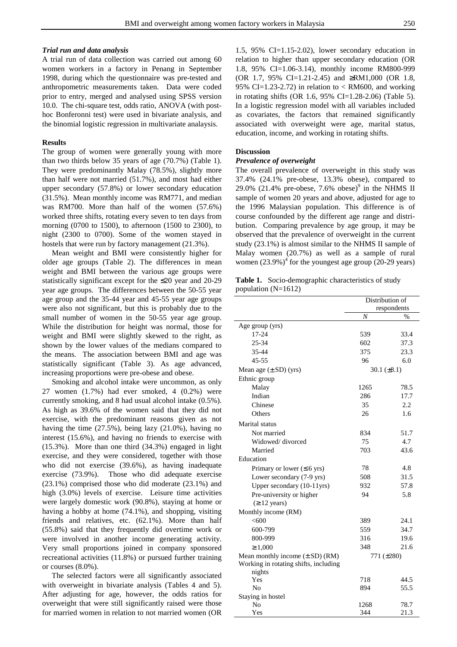# *Trial run and data analysis*

A trial run of data collection was carried out among 60 women workers in a factory in Penang in September 1998, during which the questionnaire was pre-tested and anthropometric measurements taken. Data were coded prior to entry, merged and analysed using SPSS version 10.0. The chi-square test, odds ratio, ANOVA (with posthoc Bonferonni test) were used in bivariate analysis, and the binomial logistic regression in multivariate analaysis.

### **Results**

The group of women were generally young with more than two thirds below 35 years of age (70.7%) (Table 1). They were predominantly Malay (78.5%), slightly more than half were not married (51.7%), and most had either upper secondary (57.8%) or lower secondary education (31.5%). Mean monthly income was RM771, and median was RM700. More than half of the women (57.6%) worked three shifts, rotating every seven to ten days from morning (0700 to 1500), to afternoon (1500 to 2300), to night (2300 to 0700). Some of the women stayed in hostels that were run by factory management (21.3%).

 Mean weight and BMI were consistently higher for older age groups (Table 2). The differences in mean weight and BMI between the various age groups were statistically significant except for the ≤20 year and 20-29 year age groups. The differences between the 50-55 year age group and the 35-44 year and 45-55 year age groups were also not significant, but this is probably due to the small number of women in the 50-55 year age group. While the distribution for height was normal, those for weight and BMI were slightly skewed to the right, as shown by the lower values of the medians compared to the means. The association between BMI and age was statistically significant (Table 3). As age advanced, increasing proportions were pre-obese and obese.

 Smoking and alcohol intake were uncommon, as only 27 women (1.7%) had ever smoked, 4 (0.2%) were currently smoking, and 8 had usual alcohol intake (0.5%). As high as 39.6% of the women said that they did not exercise, with the predominant reasons given as not having the time (27.5%), being lazy (21.0%), having no interest (15.6%), and having no friends to exercise with (15.3%). More than one third (34.3%) engaged in light exercise, and they were considered, together with those who did not exercise (39.6%), as having inadequate exercise (73.9%). Those who did adequate exercise (23.1%) comprised those who did moderate (23.1%) and high (3.0%) levels of exercise. Leisure time activities were largely domestic work (90.8%), staying at home or having a hobby at home (74.1%), and shopping, visiting friends and relatives, etc. (62.1%). More than half (55.8%) said that they frequently did overtime work or were involved in another income generating activity. Very small proportions joined in company sponsored recreational activities (11.8%) or pursued further training or courses (8.0%).

 The selected factors were all significantly associated with overweight in bivariate analysis (Tables 4 and 5). After adjusting for age, however, the odds ratios for overweight that were still significantly raised were those for married women in relation to not married women (OR

1.5, 95% CI=1.15-2.02), lower secondary education in relation to higher than upper secondary education (OR 1.8, 95% CI=1.06-3.14), monthly income RM800-999 (OR 1.7, 95% CI=1.21-2.45) and ≥RM1,000 (OR 1.8, 95% CI=1.23-2.72) in relation to  $\langle$  RM600, and working in rotating shifts (OR 1.6, 95% CI=1.28-2.06) (Table 5). In a logistic regression model with all variables included as covariates, the factors that remained significantly associated with overweight were age, marital status, education, income, and working in rotating shifts.

#### **Discussion**

#### *Prevalence of overweight*

The overall prevalence of overweight in this study was 37.4% (24.1% pre-obese, 13.3% obese), compared to 29.0% (21.4% pre-obese, 7.6% obese)<sup>9</sup> in the NHMS II sample of women 20 years and above, adjusted for age to the 1996 Malaysian population. This difference is of course confounded by the different age range and distribution. Comparing prevalence by age group, it may be observed that the prevalence of overweight in the current study (23.1%) is almost similar to the NHMS II sample of Malay women (20.7%) as well as a sample of rural women  $(23.9\%)^4$  for the youngest age group (20-29 years)

**Table 1.** Socio-demographic characteristics of study population (N=1612)

|                                          | Distribution of  |               |  |
|------------------------------------------|------------------|---------------|--|
|                                          |                  | respondents   |  |
|                                          | $\overline{N}$   | $\frac{0}{0}$ |  |
| Age group (yrs)                          |                  |               |  |
| 17-24                                    | 539              | 33.4          |  |
| 25-34                                    | 602              | 37.3          |  |
| 35-44                                    | 375              | 23.3          |  |
| $45 - 55$                                | 96               | 6.0           |  |
| Mean age $(\pm SD)$ (yrs)                | 30.1 $(\pm 8.1)$ |               |  |
| Ethnic group                             |                  |               |  |
| Malay                                    | 1265             | 78.5          |  |
| Indian                                   | 286              | 17.7          |  |
| Chinese                                  | 35               | 2.2           |  |
| Others                                   | 26               | 1.6           |  |
| Marital status                           |                  |               |  |
| Not married                              | 834              | 51.7          |  |
| Widowed/divorced                         | 75               | 4.7           |  |
| Married                                  | 703              | 43.6          |  |
| Education                                |                  |               |  |
| Primary or lower $( \leq 6 \text{ yrs})$ | 78               | 4.8           |  |
| Lower secondary (7-9 yrs)                | 508              | 31.5          |  |
| Upper secondary (10-11yrs)               | 932              | 57.8          |  |
| Pre-university or higher                 | 94               | 5.8           |  |
| $(≥ 12 \text{ years})$                   |                  |               |  |
| Monthly income (RM)                      |                  |               |  |
| <600                                     | 389              | 24.1          |  |
| 600-799                                  | 559              | 34.7          |  |
| 800-999                                  | 316              | 19.6          |  |
| $\geq 1,000$                             | 348              | 21.6          |  |
| Mean monthly income $(\pm SD)$ (RM)      | 771 (±280)       |               |  |
| Working in rotating shifts, including    |                  |               |  |
| nights                                   |                  |               |  |
| Yes                                      | 718              | 44.5          |  |
| N <sub>0</sub>                           | 894              | 55.5          |  |
| Staying in hostel                        |                  |               |  |
| No                                       | 1268             | 78.7          |  |
| Yes                                      | 344              | 21.3          |  |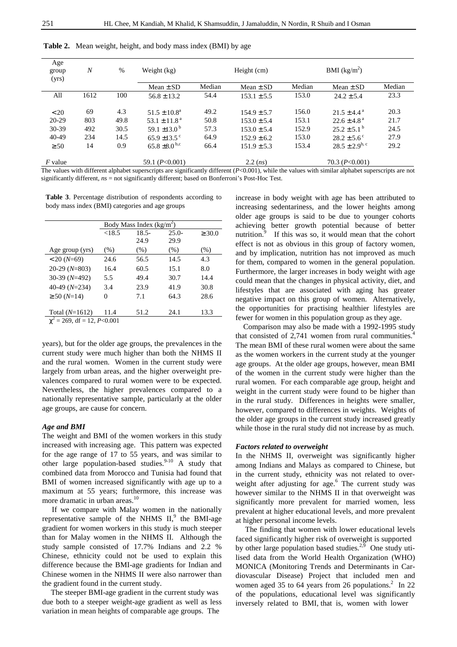| Age<br>group<br>(yrs) | $\overline{N}$ | $\%$ | Weight (kg)                   | Height $(cm)$ |                 | BMI $(kg/m^2)$ |                           |        |  |
|-----------------------|----------------|------|-------------------------------|---------------|-----------------|----------------|---------------------------|--------|--|
|                       |                |      | Mean $\pm$ SD                 | Median        | Mean $\pm$ SD   | Median         | Mean $\pm$ SD             | Median |  |
| All                   | 1612           | 100  | $56.8 \pm 13.2$               | 54.4          | $153.1 \pm 5.5$ | 153.0          | $24.2 \pm 5.4$            | 23.3   |  |
| < 20                  | 69             | 4.3  | $51.5 \pm 10.8^a$             | 49.2          | $154.9 + 5.7$   | 156.0          | $21.5 + 4.4^{\text{a}}$   | 20.3   |  |
| $20 - 29$             | 803            | 49.8 | $53.1 + 11.8a$                | 50.8          | $153.0 \pm 5.4$ | 153.1          | $22.6 \pm 4.8^{\text{a}}$ | 21.7   |  |
| 30-39                 | 492            | 30.5 | 59.1 $\pm$ 13.0 <sup>b</sup>  | 57.3          | $153.0 \pm 5.4$ | 152.9          | $25.2 \pm 5.1^{\circ}$    | 24.5   |  |
| 40-49                 | 234            | 14.5 | $65.9 \pm 13.5$ <sup>c</sup>  | 64.9          | $152.9 \pm 6.2$ | 153.0          | $28.2 \pm 5.6^{\circ}$    | 27.9   |  |
| $\geq 50$             | 14             | 0.9  | $65.8 \pm 8.0^{\mathrm{b,c}}$ | 66.4          | $151.9 \pm 5.3$ | 153.4          | $28.5 \pm 2.9^{b,c}$      | 29.2   |  |
| $F$ value             |                |      | 59.1 $(P<0.001)$              |               | 2.2 (ns)        |                | 70.3 $(P<0.001)$          |        |  |

**Table 2.** Mean weight, height, and body mass index (BMI) by age

The values with different alphabet superscripts are significantly different (*P*<0.001), while the values with similar alphabet superscripts are not significantly different, *ns* = not significantly different; based on Bonferroni's Post-Hoc Test.

 **Table 3**. Percentage distribution of respondents according to body mass index (BMI) categories and age groups

|                                    | Body Mass Index $(\overline{\text{kg/m}^2})$ |          |         |             |  |
|------------------------------------|----------------------------------------------|----------|---------|-------------|--|
|                                    | < 18.5                                       | $18.5 -$ | $25.0-$ | $\geq 30.0$ |  |
|                                    |                                              | 24.9     | 29.9    |             |  |
| Age group (yrs)                    | $(\% )$                                      | $(\% )$  | (% )    | $(\% )$     |  |
| $< 20 (N=69)$                      | 24.6                                         | 56.5     | 14.5    | 4.3         |  |
| $20-29(N=803)$                     | 16.4                                         | 60.5     | 15.1    | 8.0         |  |
| $30-39(N=492)$                     | 5.5                                          | 49.4     | 30.7    | 14.4        |  |
| 40-49 $(N=234)$                    | 3.4                                          | 23.9     | 41.9    | 30.8        |  |
| $\geq 50$ (N=14)                   | 0                                            | 7.1      | 64.3    | 28.6        |  |
|                                    |                                              |          |         |             |  |
| Total $(N=1612)$                   | 11.4                                         | 51.2     | 24.1    | 13.3        |  |
| $\gamma^2$ = 269, df = 12, P<0.001 |                                              |          |         |             |  |

years), but for the older age groups, the prevalences in the current study were much higher than both the NHMS II and the rural women. Women in the current study were largely from urban areas, and the higher overweight prevalences compared to rural women were to be expected. Nevertheless, the higher prevalences compared to a nationally representative sample, particularly at the older age groups, are cause for concern.

# *Age and BMI*

The weight and BMI of the women workers in this study increased with increasing age. This pattern was expected for the age range of 17 to 55 years, and was similar to other large population-based studies.  $9-10$  A study that combined data from Morocco and Tunisia had found that BMI of women increased significantly with age up to a maximum at 55 years; furthermore, this increase was more dramatic in urban areas.<sup>10</sup>

 If we compare with Malay women in the nationally representative sample of the NHMS  $II$ , the BMI-age gradient for women workers in this study is much steeper than for Malay women in the NHMS II. Although the study sample consisted of 17.7% Indians and 2.2 % Chinese, ethnicity could not be used to explain this difference because the BMI-age gradients for Indian and Chinese women in the NHMS II were also narrower than the gradient found in the current study.

The steeper BMI-age gradient in the current study was due both to a steeper weight-age gradient as well as less variation in mean heights of comparable age groups. The

increase in body weight with age has been attributed to increasing sedentariness, and the lower heights among older age groups is said to be due to younger cohorts achieving better growth potential because of better nutrition.<sup>9</sup> If this was so, it would mean that the cohort effect is not as obvious in this group of factory women, and by implication, nutrition has not improved as much for them, compared to women in the general population. Furthermore, the larger increases in body weight with age could mean that the changes in physical activity, diet, and lifestyles that are associated with aging has greater negative impact on this group of women. Alternatively, the opportunities for practising healthier lifestyles are fewer for women in this population group as they age.

 Comparison may also be made with a 1992-1995 study that consisted of 2,741 women from rural communities. The mean BMI of these rural women were about the same as the women workers in the current study at the younger age groups. At the older age groups, however, mean BMI of the women in the current study were higher than the rural women. For each comparable age group, height and weight in the current study were found to be higher than in the rural study. Differences in heights were smaller, however, compared to differences in weights. Weights of the older age groups in the current study increased greatly while those in the rural study did not increase by as much.

#### *Factors related to overweight*

In the NHMS II, overweight was significantly higher among Indians and Malays as compared to Chinese, but in the current study, ethnicity was not related to overweight after adjusting for age.<sup>6</sup> The current study was however similar to the NHMS II in that overweight was significantly more prevalent for married women, less prevalent at higher educational levels, and more prevalent at higher personal income levels.

 The finding that women with lower educational levels faced significantly higher risk of overweight is supported by other large population based studies.<sup>2,9</sup> One study utilised data from the World Health Organization (WHO) MONICA (Monitoring Trends and Determinants in Cardiovascular Disease) Project that included men and women aged 35 to 64 years from 26 populations. $^{2}$  In 22 of the populations, educational level was significantly inversely related to BMI, that is, women with lower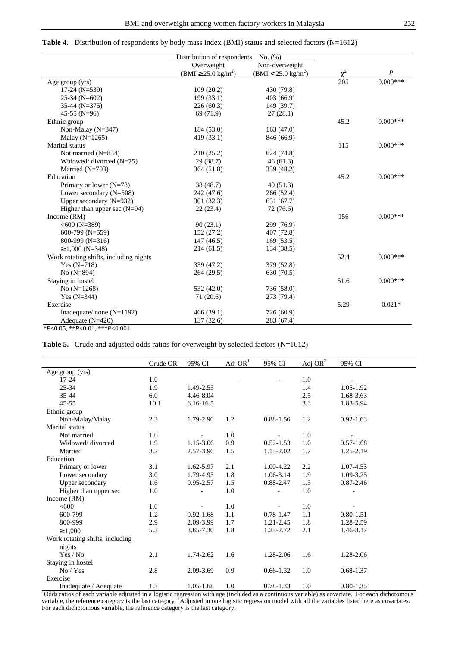**Table 4.** Distribution of respondents by body mass index (BMI) status and selected factors (N=1612)

|                                        | Distribution of respondents     |                               |            |                  |
|----------------------------------------|---------------------------------|-------------------------------|------------|------------------|
|                                        | Overweight                      | Non-overweight                |            |                  |
|                                        | $(BMI \ge 25.0 \text{ kg/m}^2)$ | $(BMI < 25.0 \text{ kg/m}^2)$ | $\gamma^2$ | $\boldsymbol{P}$ |
| Age group (yrs)                        |                                 |                               | 205        | $0.000***$       |
| $17-24$ (N=539)                        | 109(20.2)                       | 430 (79.8)                    |            |                  |
| $25-34$ (N=602)                        | 199(33.1)                       | 403(66.9)                     |            |                  |
| $35-44$ (N=375)                        | 226(60.3)                       | 149 (39.7)                    |            |                  |
| 45-55 (N=96)                           | 69 (71.9)                       | 27(28.1)                      |            |                  |
| Ethnic group                           |                                 |                               | 45.2       | $0.000***$       |
| Non-Malay ( $N=347$ )                  | 184 (53.0)                      | 163(47.0)                     |            |                  |
| Malay $(N=1265)$                       | 419 (33.1)                      | 846 (66.9)                    |            |                  |
| Marital status                         |                                 |                               | 115        | $0.000***$       |
| Not married (N=834)                    | 210(25.2)                       | 624 (74.8)                    |            |                  |
| Widowed/ divorced $(N=75)$             | 29(38.7)                        | 46(61.3)                      |            |                  |
| Married $(N=703)$                      | 364 (51.8)                      | 339 (48.2)                    |            |                  |
| Education                              |                                 |                               | 45.2       | $0.000***$       |
| Primary or lower $(N=78)$              | 38 (48.7)                       | 40(51.3)                      |            |                  |
| Lower secondary $(N=508)$              | 242 (47.6)                      | 266(52.4)                     |            |                  |
| Upper secondary $(N=932)$              | 301 (32.3)                      | 631 (67.7)                    |            |                  |
| Higher than upper sec $(N=94)$         | 22(23.4)                        | 72 (76.6)                     |            |                  |
| Income $(RM)$                          |                                 |                               | 156        | $0.000***$       |
| $<600$ (N=389)                         | 90(23.1)                        | 299 (76.9)                    |            |                  |
| 600-799 (N=559)                        | 152(27.2)                       | 407 (72.8)                    |            |                  |
| 800-999 (N=316)                        | 147(46.5)                       | 169(53.5)                     |            |                  |
| $\geq 1,000$ (N=348)                   | 214(61.5)                       | 134 (38.5)                    |            |                  |
| Work rotating shifts, including nights |                                 |                               | 52.4       | $0.000***$       |
| Yes $(N=718)$                          | 339 (47.2)                      | 379 (52.8)                    |            |                  |
| No $(N=894)$                           | 264 (29.5)                      | 630 (70.5)                    |            |                  |
| Staying in hostel                      |                                 |                               | 51.6       | $0.000***$       |
| No $(N=1268)$                          | 532 (42.0)                      | 736 (58.0)                    |            |                  |
| Yes $(N=344)$                          | 71 (20.6)                       | 273 (79.4)                    |            |                  |
| Exercise                               |                                 |                               | 5.29       | $0.021*$         |
| Inadequate/ none $(N=1192)$            | 466 (39.1)                      | 726 (60.9)                    |            |                  |
| Adequate $(N=420)$                     | 137 (32.6)                      | 283 (67.4)                    |            |                  |
| $*P<0.05$ , $*P<0.01$ , $**P<0.001$    |                                 |                               |            |                  |

**Table 5.** Crude and adjusted odds ratios for overweight by selected factors (N=1612)

|                                 | Crude OR | 95% CI        | Adj $OR1$ | 95% CI        | Adj OR <sup>2</sup> | 95% CI        |
|---------------------------------|----------|---------------|-----------|---------------|---------------------|---------------|
| Age group (yrs)                 |          |               |           |               |                     |               |
| $17 - 24$                       | 1.0      |               |           |               | 1.0                 |               |
| $25 - 34$                       | 1.9      | 1.49-2.55     |           |               | 1.4                 | 1.05-1.92     |
| 35-44                           | 6.0      | 4.46-8.04     |           |               | 2.5                 | 1.68-3.63     |
| $45 - 55$                       | 10.1     | $6.16 - 16.5$ |           |               | 3.3                 | 1.83-5.94     |
| Ethnic group                    |          |               |           |               |                     |               |
| Non-Malay/Malay                 | 2.3      | 1.79-2.90     | 1.2       | $0.88 - 1.56$ | 1.2                 | $0.92 - 1.63$ |
| Marital status                  |          |               |           |               |                     |               |
| Not married                     | 1.0      |               | 1.0       |               | 1.0                 |               |
| Widowed/divorced                | 1.9      | 1.15-3.06     | 0.9       | $0.52 - 1.53$ | 1.0                 | $0.57 - 1.68$ |
| Married                         | 3.2      | 2.57-3.96     | 1.5       | 1.15-2.02     | 1.7                 | 1.25-2.19     |
| Education                       |          |               |           |               |                     |               |
| Primary or lower                | 3.1      | 1.62-5.97     | 2.1       | 1.00-4.22     | 2.2                 | 1.07-4.53     |
| Lower secondary                 | 3.0      | 1.79-4.95     | 1.8       | 1.06-3.14     | 1.9                 | 1.09-3.25     |
| Upper secondary                 | 1.6      | 0.95-2.57     | 1.5       | 0.88-2.47     | 1.5                 | $0.87 - 2.46$ |
| Higher than upper sec           | 1.0      |               | 1.0       |               | 1.0                 |               |
| Income $(RM)$                   |          |               |           |               |                     |               |
| <600                            | 1.0      |               | 1.0       |               | 1.0                 |               |
| 600-799                         | 1.2      | $0.92 - 1.68$ | 1.1       | $0.78 - 1.47$ | 1.1                 | $0.80 - 1.51$ |
| 800-999                         | 2.9      | 2.09-3.99     | 1.7       | 1.21-2.45     | 1.8                 | 1.28-2.59     |
| $\geq 1,000$                    | 5.3      | 3.85-7.30     | 1.8       | 1.23-2.72     | 2.1                 | 1.46-3.17     |
| Work rotating shifts, including |          |               |           |               |                     |               |
| nights                          |          |               |           |               |                     |               |
| Yes / No                        | 2.1      | 1.74-2.62     | 1.6       | 1.28-2.06     | 1.6                 | 1.28-2.06     |
| Staying in hostel               |          |               |           |               |                     |               |
| No / Yes                        | 2.8      | 2.09-3.69     | 0.9       | $0.66 - 1.32$ | 1.0                 | $0.68 - 1.37$ |
| Exercise                        |          |               |           |               |                     |               |
| Inadequate / Adequate           | 1.3      | $1.05 - 1.68$ | 1.0       | 0.78-1.33     | 1.0                 | $0.80 - 1.35$ |

Inadequate / Adequate 1.3 1.05-1.68 1.0 0.78-1.33 1.0 0.80-1.35<br>
<sup>1</sup>Odds ratios of each variable adjusted in a logistic regression with age (included as a continuous variable) as covariate. For each dichotomous variable, For each dichotomous variable, the reference category is the last category.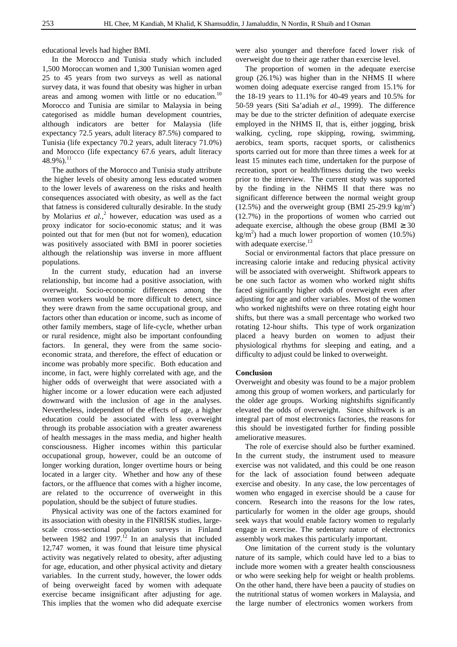educational levels had higher BMI.

 In the Morocco and Tunisia study which included 1,500 Moroccan women and 1,300 Tunisian women aged 25 to 45 years from two surveys as well as national survey data, it was found that obesity was higher in urban areas and among women with little or no education.<sup>10</sup> Morocco and Tunisia are similar to Malaysia in being categorised as middle human development countries, although indicators are better for Malaysia (life expectancy 72.5 years, adult literacy 87.5%) compared to Tunisia (life expectancy 70.2 years, adult literacy 71.0%) and Morocco (life expectancy 67.6 years, adult literacy  $48.9\%$ ).<sup>11</sup>

 The authors of the Morocco and Tunisia study attribute the higher levels of obesity among less educated women to the lower levels of awareness on the risks and health consequences associated with obesity, as well as the fact that fatness is considered culturally desirable. In the study by Molarius *et al.*,<sup>2</sup> however, education was used as a proxy indicator for socio-economic status; and it was pointed out that for men (but not for women), education was positively associated with BMI in poorer societies although the relationship was inverse in more affluent populations.

 In the current study, education had an inverse relationship, but income had a positive association, with overweight. Socio-economic differences among the women workers would be more difficult to detect, since they were drawn from the same occupational group, and factors other than education or income, such as income of other family members, stage of life-cycle, whether urban or rural residence, might also be important confounding factors. In general, they were from the same socioeconomic strata, and therefore, the effect of education or income was probably more specific. Both education and income, in fact, were highly correlated with age, and the higher odds of overweight that were associated with a higher income or a lower education were each adjusted downward with the inclusion of age in the analyses. Nevertheless, independent of the effects of age, a higher education could be associated with less overweight through its probable association with a greater awareness of health messages in the mass media, and higher health consciousness. Higher incomes within this particular occupational group, however, could be an outcome of longer working duration, longer overtime hours or being located in a larger city. Whether and how any of these factors, or the affluence that comes with a higher income, are related to the occurrence of overweight in this population, should be the subject of future studies.

Physical activity was one of the factors examined for its association with obesity in the FINRISK studies, largescale cross-sectional population surveys in Finland between 1982 and 1997.<sup>12</sup> In an analysis that included 12,747 women, it was found that leisure time physical activity was negatively related to obesity, after adjusting for age, education, and other physical activity and dietary variables. In the current study, however, the lower odds of being overweight faced by women with adequate exercise became insignificant after adjusting for age. This implies that the women who did adequate exercise

were also younger and therefore faced lower risk of overweight due to their age rather than exercise level.

The proportion of women in the adequate exercise group (26.1%) was higher than in the NHMS II where women doing adequate exercise ranged from 15.1% for the 18-19 years to 11.1% for 40-49 years and 10.5% for 50-59 years (Siti Sa'adiah *et al*., 1999). The difference may be due to the stricter definition of adequate exercise employed in the NHMS II, that is, either jogging, brisk walking, cycling, rope skipping, rowing, swimming, aerobics, team sports, racquet sports, or calisthenics sports carried out for more than three times a week for at least 15 minutes each time, undertaken for the purpose of recreation, sport or health/fitness during the two weeks prior to the interview. The current study was supported by the finding in the NHMS II that there was no significant difference between the normal weight group (12.5%) and the overweight group (BMI 25-29.9 kg/m<sup>2</sup>) (12.7%) in the proportions of women who carried out adequate exercise, although the obese group (BMI  $\geq 30$ ) kg/m<sup>2</sup>) had a much lower proportion of women (10.5%) with adequate exercise.<sup>13</sup>

 Social or environmental factors that place pressure on increasing calorie intake and reducing physical activity will be associated with overweight. Shiftwork appears to be one such factor as women who worked night shifts faced significantly higher odds of overweight even after adjusting for age and other variables. Most of the women who worked nightshifts were on three rotating eight hour shifts, but there was a small percentage who worked two rotating 12-hour shifts. This type of work organization placed a heavy burden on women to adjust their physiological rhythms for sleeping and eating, and a difficulty to adjust could be linked to overweight.

# **Conclusion**

Overweight and obesity was found to be a major problem among this group of women workers, and particularly for the older age groups. Working nightshifts significantly elevated the odds of overweight. Since shiftwork is an integral part of most electronics factories, the reasons for this should be investigated further for finding possible ameliorative measures.

 The role of exercise should also be further examined. In the current study, the instrument used to measure exercise was not validated, and this could be one reason for the lack of association found between adequate exercise and obesity. In any case, the low percentages of women who engaged in exercise should be a cause for concern. Research into the reasons for the low rates, particularly for women in the older age groups, should seek ways that would enable factory women to regularly engage in exercise. The sedentary nature of electronics assembly work makes this particularly important.

 One limitation of the current study is the voluntary nature of its sample, which could have led to a bias to include more women with a greater health consciousness or who were seeking help for weight or health problems. On the other hand, there have been a paucity of studies on the nutritional status of women workers in Malaysia, and the large number of electronics women workers from